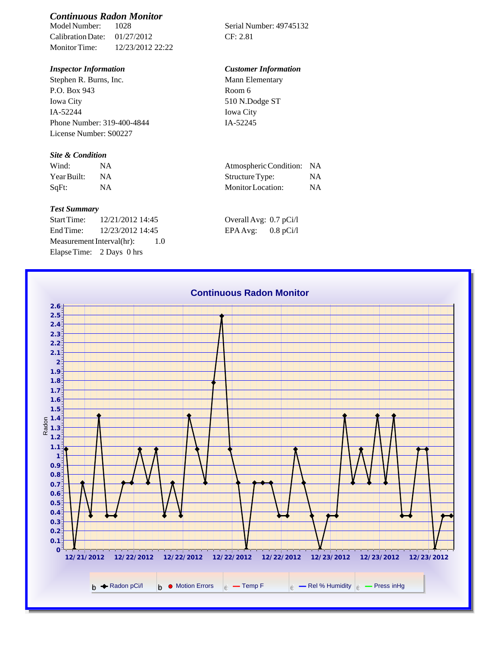# *Continuous Radon Monitor*

Calibration Date: 01/27/2012 CF: 2.81 Monitor Time: 12/23/2012 22:22

Stephen R. Burns, Inc. P.O. Box 943 Iowa City IA-52244 Phone Number: 319-400-4844 License Number: S00227

### *Site & Condition*

| Wind:       |    | Atmospheric Condition: NA |    |
|-------------|----|---------------------------|----|
| Year Built: | ΝA | Structure Type:           |    |
| $SqFt$ :    |    | Monitor Location:         | ΝA |

#### *Test Summary*

Start Time: 12/21/2012 14:45 End Time:  $12/23/2012$  14:45 Measurement Interval(hr): 1.0 Elapse Time: 2 Days 0 hrs

Serial Number: 49745132

## *Inspector Information Customer Information*

| Mann Elementary |  |
|-----------------|--|
| Room 6          |  |
| 510 N.Dodge ST  |  |
| Iowa City       |  |
| IA-52245        |  |

| Atmospheric Condition: NA |           |
|---------------------------|-----------|
| Structure Type:           | <b>NA</b> |
| Monitor Location:         | <b>NA</b> |

| Overall Avg: 0.7 pCi/l |             |
|------------------------|-------------|
| EPA Avg:               | $0.8$ pCi/l |

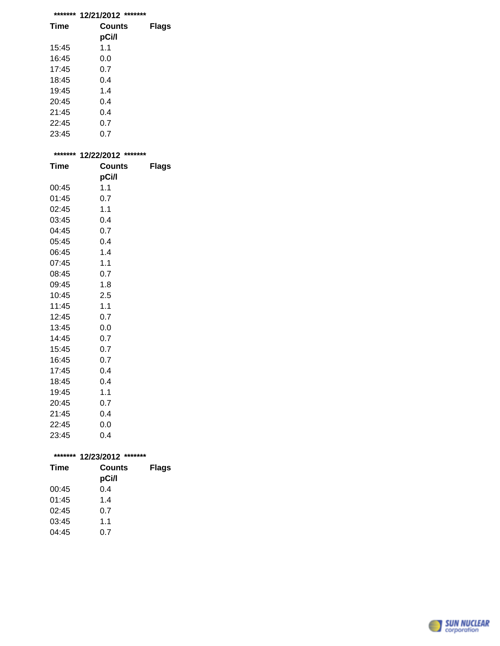| ******* | *******<br>12/21/2012 |       |
|---------|-----------------------|-------|
| Time    | Counts<br>pCi/l       | Flags |
| 15:45   | 1.1                   |       |
| 16:45   | 0.0                   |       |
| 17:45   | 0.7                   |       |
| 18:45   | 0.4                   |       |
| 19:45   | 1.4                   |       |
| 20:45   | 0.4                   |       |
| 21:45   | 0.4                   |       |
| 22:45   | 0.7                   |       |

23:45 0.7

| ******* | 12/22/2012 ******* |       |
|---------|--------------------|-------|
| Time    | Counts             | Flags |
|         | pCi/l              |       |
| 00:45   | 1.1                |       |
| 01:45   | 0.7                |       |
| 02:45   | 1.1                |       |
| 03:45   | 0.4                |       |
| 04:45   | 0.7                |       |
| 05:45   | 0.4                |       |
| 06:45   | 1.4                |       |
| 07:45   | 1.1                |       |
| 08:45   | 0.7                |       |
| 09:45   | 1.8                |       |
| 10:45   | 2.5                |       |
| 11:45   | 1.1                |       |
| 12:45   | 0.7                |       |
| 13:45   | 0.0                |       |
| 14:45   | 0.7                |       |
| 15:45   | 0.7                |       |
| 16:45   | 0.7                |       |
| 17:45   | 0.4                |       |
| 18:45   | 0.4                |       |
| 19:45   | 1.1                |       |
| 20:45   | 0.7                |       |
| 21:45   | 0.4                |       |
| 22:45   | 0.0                |       |
| 23:45   | 0.4                |       |

| *******     | *******<br>12/23/2012  |              |  |
|-------------|------------------------|--------------|--|
| <b>Time</b> | <b>Counts</b><br>pCi/l | <b>Flags</b> |  |
| 00:45       | 0.4                    |              |  |
| 01:45       | 1.4                    |              |  |
| 02:45       | 0.7                    |              |  |
| 03:45       | 1.1                    |              |  |
| 04:45       | 0.7                    |              |  |